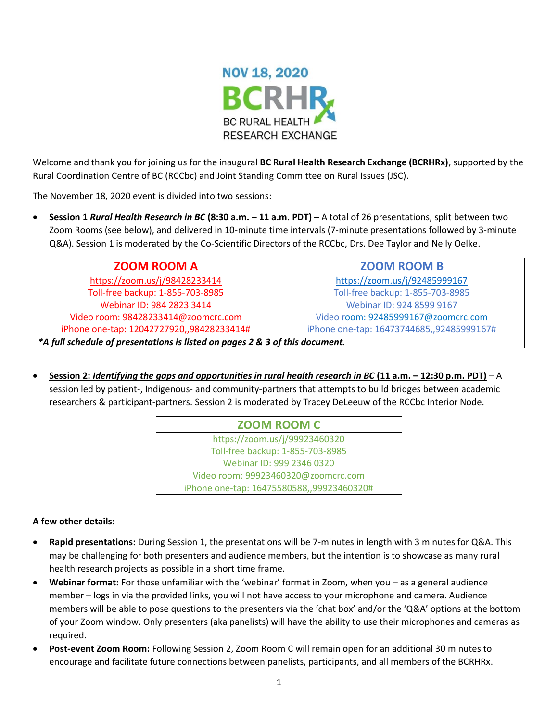

Welcome and thank you for joining us for the inaugural **BC Rural Health Research Exchange (BCRHRx)**, supported by the Rural Coordination Centre of BC (RCCbc) and Joint Standing Committee on Rural Issues (JSC).

The November 18, 2020 event is divided into two sessions:

• **Session 1** *Rural Health Research in BC* **(8:30 a.m. – 11 a.m. PDT)** – A total of 26 presentations, split between two Zoom Rooms (see below), and delivered in 10-minute time intervals (7-minute presentations followed by 3-minute Q&A). Session 1 is moderated by the Co-Scientific Directors of the RCCbc, Drs. Dee Taylor and Nelly Oelke.

| <b>ZOOM ROOM A</b>                                                           | <b>ZOOM ROOM B</b>                        |  |  |
|------------------------------------------------------------------------------|-------------------------------------------|--|--|
| https://zoom.us/j/98428233414                                                | https://zoom.us/j/92485999167             |  |  |
| Toll-free backup: 1-855-703-8985                                             | Toll-free backup: 1-855-703-8985          |  |  |
| Webinar ID: 984 2823 3414                                                    | Webinar ID: 924 8599 9167                 |  |  |
| Video room: 98428233414@zoomcrc.com                                          | Video room: 92485999167@zoomcrc.com       |  |  |
| iPhone one-tap: 12042727920,,98428233414#                                    | iPhone one-tap: 16473744685,,92485999167# |  |  |
| *A full schedule of presentations is listed on pages 2 & 3 of this document. |                                           |  |  |

• **Session 2:** *Identifying the gaps and opportunities in rural health research in BC* **(11 a.m. – 12:30 p.m. PDT)** – A session led by patient-, Indigenous- and community-partners that attempts to build bridges between academic researchers & participant-partners. Session 2 is moderated by Tracey DeLeeuw of the RCCbc Interior Node.

| <b>ZOOM ROOM C</b>                        |  |
|-------------------------------------------|--|
| https://zoom.us/j/99923460320             |  |
| Toll-free backup: 1-855-703-8985          |  |
| Webinar ID: 999 2346 0320                 |  |
| Video room: 99923460320@zoomcrc.com       |  |
| iPhone one-tap: 16475580588,,99923460320# |  |

#### **A few other details:**

- **Rapid presentations:** During Session 1, the presentations will be 7-minutes in length with 3 minutes for Q&A. This may be challenging for both presenters and audience members, but the intention is to showcase as many rural health research projects as possible in a short time frame.
- **Webinar format:** For those unfamiliar with the 'webinar' format in Zoom, when you as a general audience member – logs in via the provided links, you will not have access to your microphone and camera. Audience members will be able to pose questions to the presenters via the 'chat box' and/or the 'Q&A' options at the bottom of your Zoom window. Only presenters (aka panelists) will have the ability to use their microphones and cameras as required.
- **Post-event Zoom Room:** Following Session 2, Zoom Room C will remain open for an additional 30 minutes to encourage and facilitate future connections between panelists, participants, and all members of the BCRHRx.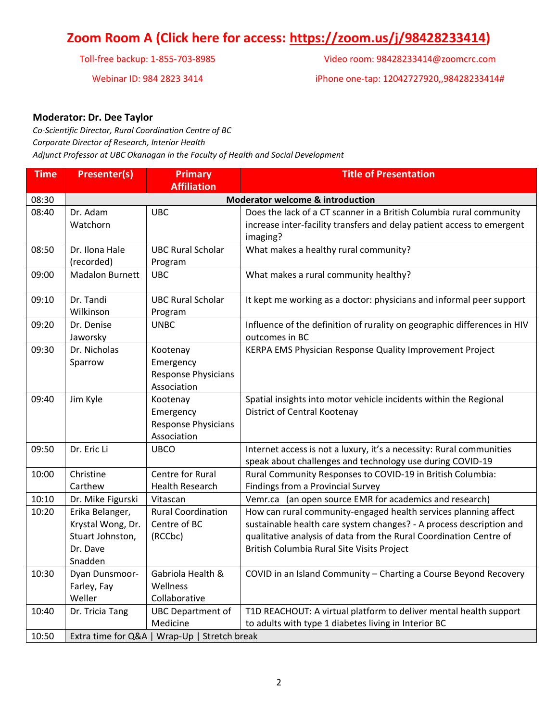## **Zoom Room A (Click here for access: [https://zoom.us/j/98428233414\)](https://zoom.us/j/98428233414)**

Toll-free backup: 1-855-703-8985

Webinar ID: 984 2823 3414

| Video room: 98428233414@zoomcrc.com |
|-------------------------------------|
|-------------------------------------|

iPhone one-tap: 12042727920,,98428233414#

#### **Moderator: Dr. Dee Taylor**

*Co-Scientific Director, Rural Coordination Centre of BC Corporate Director of Research, Interior Health Adjunct Professor at UBC Okanagan in the Faculty of Health and Social Development*

| <b>Time</b> | <b>Presenter(s)</b>                         | <b>Primary</b>                               | <b>Title of Presentation</b>                                             |  |  |
|-------------|---------------------------------------------|----------------------------------------------|--------------------------------------------------------------------------|--|--|
|             |                                             | <b>Affiliation</b>                           |                                                                          |  |  |
| 08:30       | <b>Moderator welcome &amp; introduction</b> |                                              |                                                                          |  |  |
| 08:40       | Dr. Adam                                    | <b>UBC</b>                                   | Does the lack of a CT scanner in a British Columbia rural community      |  |  |
|             | Watchorn                                    |                                              | increase inter-facility transfers and delay patient access to emergent   |  |  |
|             |                                             |                                              | imaging?                                                                 |  |  |
| 08:50       | Dr. Ilona Hale                              | <b>UBC Rural Scholar</b>                     | What makes a healthy rural community?                                    |  |  |
|             | (recorded)                                  | Program                                      |                                                                          |  |  |
| 09:00       | <b>Madalon Burnett</b>                      | <b>UBC</b>                                   | What makes a rural community healthy?                                    |  |  |
| 09:10       | Dr. Tandi                                   | <b>UBC Rural Scholar</b>                     | It kept me working as a doctor: physicians and informal peer support     |  |  |
|             | Wilkinson                                   | Program                                      |                                                                          |  |  |
| 09:20       | Dr. Denise                                  | <b>UNBC</b>                                  | Influence of the definition of rurality on geographic differences in HIV |  |  |
|             | Jaworsky                                    |                                              | outcomes in BC                                                           |  |  |
| 09:30       | Dr. Nicholas                                | Kootenay                                     | KERPA EMS Physician Response Quality Improvement Project                 |  |  |
|             | Sparrow                                     | Emergency                                    |                                                                          |  |  |
|             |                                             | <b>Response Physicians</b>                   |                                                                          |  |  |
|             |                                             | Association                                  |                                                                          |  |  |
| 09:40       | Jim Kyle                                    | Kootenay                                     | Spatial insights into motor vehicle incidents within the Regional        |  |  |
|             |                                             | Emergency                                    | District of Central Kootenay                                             |  |  |
|             |                                             | Response Physicians                          |                                                                          |  |  |
|             |                                             | Association                                  |                                                                          |  |  |
| 09:50       | Dr. Eric Li                                 | <b>UBCO</b>                                  | Internet access is not a luxury, it's a necessity: Rural communities     |  |  |
|             |                                             |                                              | speak about challenges and technology use during COVID-19                |  |  |
| 10:00       | Christine                                   | Centre for Rural                             | Rural Community Responses to COVID-19 in British Columbia:               |  |  |
|             | Carthew                                     | <b>Health Research</b>                       | Findings from a Provincial Survey                                        |  |  |
| 10:10       | Dr. Mike Figurski                           | Vitascan                                     | Vemr.ca (an open source EMR for academics and research)                  |  |  |
| 10:20       | Erika Belanger,                             | <b>Rural Coordination</b>                    | How can rural community-engaged health services planning affect          |  |  |
|             | Krystal Wong, Dr.                           | Centre of BC                                 | sustainable health care system changes? - A process description and      |  |  |
|             | Stuart Johnston,                            | (RCCbc)                                      | qualitative analysis of data from the Rural Coordination Centre of       |  |  |
|             | Dr. Dave                                    |                                              | British Columbia Rural Site Visits Project                               |  |  |
|             | Snadden                                     |                                              |                                                                          |  |  |
| 10:30       | Dyan Dunsmoor-                              | Gabriola Health &                            | COVID in an Island Community - Charting a Course Beyond Recovery         |  |  |
|             | Farley, Fay                                 | Wellness                                     |                                                                          |  |  |
|             | Weller                                      | Collaborative                                |                                                                          |  |  |
| 10:40       | Dr. Tricia Tang                             | <b>UBC Department of</b>                     | T1D REACHOUT: A virtual platform to deliver mental health support        |  |  |
|             |                                             | Medicine                                     | to adults with type 1 diabetes living in Interior BC                     |  |  |
| 10:50       |                                             | Extra time for Q&A   Wrap-Up   Stretch break |                                                                          |  |  |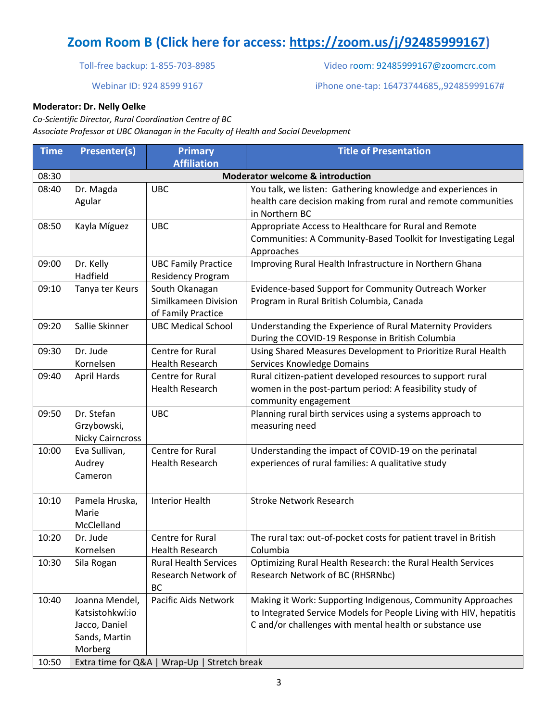# **Zoom Room B [\(C](/Users/jasoncurran/Downloads/()lick here for access: [https://zoom.us/j/92485999167\)](https://zoom.us/j/92485999167)**

Toll-free backup: 1-855-703-8985

#### Webinar ID: 924 8599 9167

Video room: 92485999167@zoomcrc.com

iPhone one-tap: 16473744685,,92485999167#

#### **Moderator: Dr. Nelly Oelke**

*Co-Scientific Director, Rural Coordination Centre of BC Associate Professor at UBC Okanagan in the Faculty of Health and Social Development*

| <b>Time</b>    | <b>Presenter(s)</b>                                                                                  | <b>Primary</b><br><b>Affiliation</b>                             | <b>Title of Presentation</b>                                                                                                                                                                 |  |
|----------------|------------------------------------------------------------------------------------------------------|------------------------------------------------------------------|----------------------------------------------------------------------------------------------------------------------------------------------------------------------------------------------|--|
| 08:30          | <b>Moderator welcome &amp; introduction</b>                                                          |                                                                  |                                                                                                                                                                                              |  |
| 08:40          | Dr. Magda<br>Agular                                                                                  | <b>UBC</b>                                                       | You talk, we listen: Gathering knowledge and experiences in<br>health care decision making from rural and remote communities<br>in Northern BC                                               |  |
| 08:50          | Kayla Míguez                                                                                         | <b>UBC</b>                                                       | Appropriate Access to Healthcare for Rural and Remote<br>Communities: A Community-Based Toolkit for Investigating Legal<br>Approaches                                                        |  |
| 09:00          | Dr. Kelly<br>Hadfield                                                                                | <b>UBC Family Practice</b><br><b>Residency Program</b>           | Improving Rural Health Infrastructure in Northern Ghana                                                                                                                                      |  |
| 09:10          | Tanya ter Keurs                                                                                      | South Okanagan<br>Similkameen Division<br>of Family Practice     | Evidence-based Support for Community Outreach Worker<br>Program in Rural British Columbia, Canada                                                                                            |  |
| 09:20          | Sallie Skinner                                                                                       | <b>UBC Medical School</b>                                        | Understanding the Experience of Rural Maternity Providers<br>During the COVID-19 Response in British Columbia                                                                                |  |
| 09:30          | Dr. Jude<br>Kornelsen                                                                                | Centre for Rural<br><b>Health Research</b>                       | Using Shared Measures Development to Prioritize Rural Health<br>Services Knowledge Domains                                                                                                   |  |
| 09:40          | <b>April Hards</b>                                                                                   | Centre for Rural<br><b>Health Research</b>                       | Rural citizen-patient developed resources to support rural<br>women in the post-partum period: A feasibility study of<br>community engagement                                                |  |
| 09:50          | Dr. Stefan<br>Grzybowski,<br><b>Nicky Cairncross</b>                                                 | <b>UBC</b>                                                       | Planning rural birth services using a systems approach to<br>measuring need                                                                                                                  |  |
| 10:00          | Eva Sullivan,<br>Audrey<br>Cameron                                                                   | Centre for Rural<br><b>Health Research</b>                       | Understanding the impact of COVID-19 on the perinatal<br>experiences of rural families: A qualitative study                                                                                  |  |
| 10:10          | Pamela Hruska,<br>Marie<br>McClelland                                                                | <b>Interior Health</b>                                           | <b>Stroke Network Research</b>                                                                                                                                                               |  |
| 10:20          | Dr. Jude<br>Kornelsen                                                                                | Centre for Rural<br>Health Research                              | The rural tax: out-of-pocket costs for patient travel in British<br>Columbia                                                                                                                 |  |
| 10:30          | Sila Rogan                                                                                           | <b>Rural Health Services</b><br>Research Network of<br><b>BC</b> | Optimizing Rural Health Research: the Rural Health Services<br>Research Network of BC (RHSRNbc)                                                                                              |  |
| 10:40<br>10:50 | Joanna Mendel,<br>Katsistohkwí:io<br>Jacco, Daniel<br>Sands, Martin<br>Morberg<br>Extra time for Q&A | Pacific Aids Network<br>Wrap-Up   Stretch break                  | Making it Work: Supporting Indigenous, Community Approaches<br>to Integrated Service Models for People Living with HIV, hepatitis<br>C and/or challenges with mental health or substance use |  |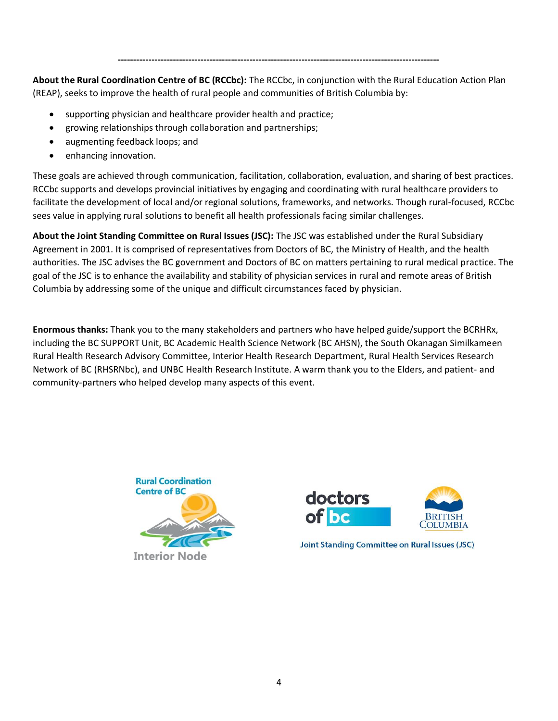**About the Rural Coordination Centre of BC (RCCbc):** The RCCbc, in conjunction with the Rural Education Action Plan (REAP), seeks to improve the health of rural people and communities of British Columbia by:

**---------------------------------------------------------------------------------------------------------**

- supporting physician and healthcare provider health and practice;
- growing relationships through collaboration and partnerships;
- augmenting feedback loops; and
- enhancing innovation.

These goals are achieved through communication, facilitation, collaboration, evaluation, and sharing of best practices. RCCbc supports and develops provincial initiatives by engaging and coordinating with rural healthcare providers to facilitate the development of local and/or regional solutions, frameworks, and networks. Though rural-focused, RCCbc sees value in applying rural solutions to benefit all health professionals facing similar challenges.

**About the Joint Standing Committee on Rural Issues (JSC):** The JSC was established under the Rural Subsidiary Agreement in 2001. It is comprised of representatives from Doctors of BC, the Ministry of Health, and the health authorities. The JSC advises the BC government and Doctors of BC on matters pertaining to rural medical practice. The goal of the JSC is to enhance the availability and stability of physician services in rural and remote areas of British Columbia by addressing some of the unique and difficult circumstances faced by physician.

**Enormous thanks:** Thank you to the many stakeholders and partners who have helped guide/support the BCRHRx, including the BC SUPPORT Unit, BC Academic Health Science Network (BC AHSN), the South Okanagan Similkameen Rural Health Research Advisory Committee, Interior Health Research Department, Rural Health Services Research Network of BC (RHSRNbc), and UNBC Health Research Institute. A warm thank you to the Elders, and patient- and community-partners who helped develop many aspects of this event.





**Joint Standing Committee on Rural Issues (JSC)**